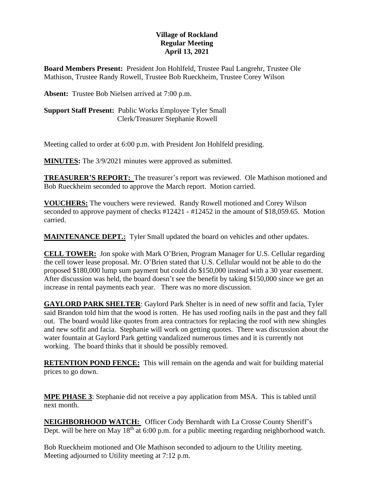## **Village of Rockland Regular Meeting April 13, 2021**

**Board Members Present:** President Jon Hohlfeld, Trustee Paul Langrehr, Trustee Ole Mathison, Trustee Randy Rowell, Trustee Bob Rueckheim, Trustee Corey Wilson

**Absent:** Trustee Bob Nielsen arrived at 7:00 p.m.

**Support Staff Present:** Public Works Employee Tyler Small Clerk/Treasurer Stephanie Rowell

Meeting called to order at 6:00 p.m. with President Jon Hohlfeld presiding.

**MINUTES:** The 3/9/2021 minutes were approved as submitted.

**TREASURER'S REPORT:** The treasurer's report was reviewed. Ole Mathison motioned and Bob Rueckheim seconded to approve the March report. Motion carried.

**VOUCHERS:** The vouchers were reviewed. Randy Rowell motioned and Corey Wilson seconded to approve payment of checks #12421 - #12452 in the amount of \$18,059.65. Motion carried.

**MAINTENANCE DEPT.:** Tyler Small updated the board on vehicles and other updates.

**CELL TOWER:** Jon spoke with Mark O'Brien, Program Manager for U.S. Cellular regarding the cell tower lease proposal. Mr. O'Brien stated that U.S. Cellular would not be able to do the proposed \$180,000 lump sum payment but could do \$150,000 instead with a 30 year easement. After discussion was held, the board doesn't see the benefit by taking \$150,000 since we get an increase in rental payments each year. There was no more discussion.

**GAYLORD PARK SHELTER**: Gaylord Park Shelter is in need of new soffit and facia, Tyler said Brandon told him that the wood is rotten. He has used roofing nails in the past and they fall out. The board would like quotes from area contractors for replacing the roof with new shingles and new soffit and facia. Stephanie will work on getting quotes. There was discussion about the water fountain at Gaylord Park getting vandalized numerous times and it is currently not working. The board thinks that it should be possibly removed.

**RETENTION POND FENCE:** This will remain on the agenda and wait for building material prices to go down.

**MPE PHASE 3**: Stephanie did not receive a pay application from MSA. This is tabled until next month.

**NEIGHBORHOOD WATCH:** Officer Cody Bernhardt with La Crosse County Sheriff's Dept. will be here on May  $18<sup>th</sup>$  at 6:00 p.m. for a public meeting regarding neighborhood watch.

Bob Rueckheim motioned and Ole Mathison seconded to adjourn to the Utility meeting. Meeting adjourned to Utility meeting at 7:12 p.m.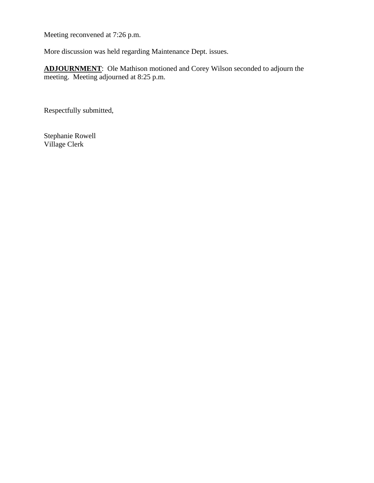Meeting reconvened at 7:26 p.m.

More discussion was held regarding Maintenance Dept. issues.

**ADJOURNMENT**: Ole Mathison motioned and Corey Wilson seconded to adjourn the meeting. Meeting adjourned at 8:25 p.m.

Respectfully submitted,

Stephanie Rowell Village Clerk